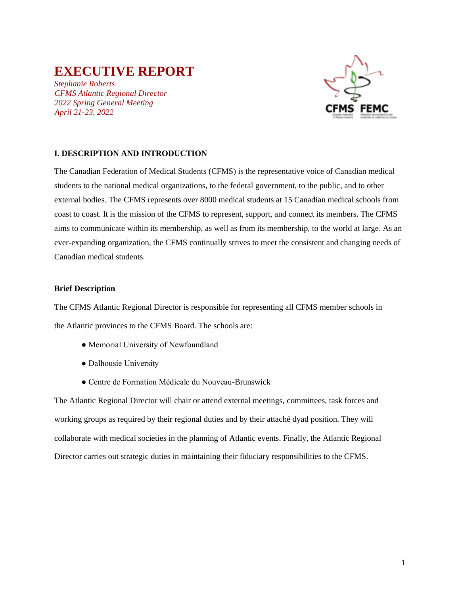# **EXECUTIVE REPORT**

*Stephanie Roberts CFMS Atlantic Regional Director 2022 Spring General Meeting April 21-23, 2022*



#### **I. DESCRIPTION AND INTRODUCTION**

The Canadian Federation of Medical Students (CFMS) is the representative voice of Canadian medical students to the national medical organizations, to the federal government, to the public, and to other external bodies. The CFMS represents over 8000 medical students at 15 Canadian medical schools from coast to coast. It is the mission of the CFMS to represent, support, and connect its members. The CFMS aims to communicate within its membership, as well as from its membership, to the world at large. As an ever-expanding organization, the CFMS continually strives to meet the consistent and changing needs of Canadian medical students.

#### **Brief Description**

The CFMS Atlantic Regional Director is responsible for representing all CFMS member schools in the Atlantic provinces to the CFMS Board. The schools are:

- Memorial University of Newfoundland
- Dalhousie University
- Centre de Formation Médicale du Nouveau-Brunswick

The Atlantic Regional Director will chair or attend external meetings, committees, task forces and working groups as required by their regional duties and by their attaché dyad position. They will collaborate with medical societies in the planning of Atlantic events. Finally, the Atlantic Regional Director carries out strategic duties in maintaining their fiduciary responsibilities to the CFMS.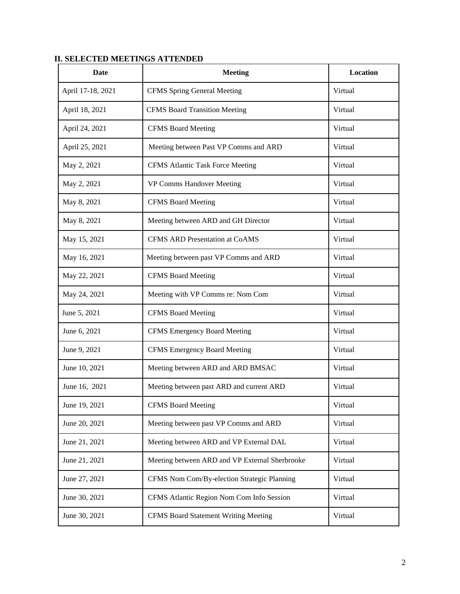# **II. SELECTED MEETINGS ATTENDED**

| Date              | <b>Meeting</b>                                 | <b>Location</b> |
|-------------------|------------------------------------------------|-----------------|
| April 17-18, 2021 | <b>CFMS</b> Spring General Meeting             | Virtual         |
| April 18, 2021    | <b>CFMS Board Transition Meeting</b>           | Virtual         |
| April 24, 2021    | <b>CFMS</b> Board Meeting                      | Virtual         |
| April 25, 2021    | Meeting between Past VP Comms and ARD          | Virtual         |
| May 2, 2021       | <b>CFMS</b> Atlantic Task Force Meeting        | Virtual         |
| May 2, 2021       | VP Comms Handover Meeting                      | Virtual         |
| May 8, 2021       | <b>CFMS</b> Board Meeting                      | Virtual         |
| May 8, 2021       | Meeting between ARD and GH Director            | Virtual         |
| May 15, 2021      | <b>CFMS ARD Presentation at CoAMS</b>          | Virtual         |
| May 16, 2021      | Meeting between past VP Comms and ARD          | Virtual         |
| May 22, 2021      | <b>CFMS</b> Board Meeting                      | Virtual         |
| May 24, 2021      | Meeting with VP Comms re: Nom Com              | Virtual         |
| June 5, 2021      | <b>CFMS Board Meeting</b>                      | Virtual         |
| June 6, 2021      | <b>CFMS</b> Emergency Board Meeting            | Virtual         |
| June 9, 2021      | <b>CFMS</b> Emergency Board Meeting            | Virtual         |
| June 10, 2021     | Meeting between ARD and ARD BMSAC              | Virtual         |
| June 16, 2021     | Meeting between past ARD and current ARD       | Virtual         |
| June 19, 2021     | <b>CFMS Board Meeting</b>                      | Virtual         |
| June 20, 2021     | Meeting between past VP Comms and ARD          | Virtual         |
| June 21, 2021     | Meeting between ARD and VP External DAL        | Virtual         |
| June 21, 2021     | Meeting between ARD and VP External Sherbrooke | Virtual         |
| June 27, 2021     | CFMS Nom Com/By-election Strategic Planning    | Virtual         |
| June 30, 2021     | CFMS Atlantic Region Nom Com Info Session      | Virtual         |
| June 30, 2021     | <b>CFMS Board Statement Writing Meeting</b>    | Virtual         |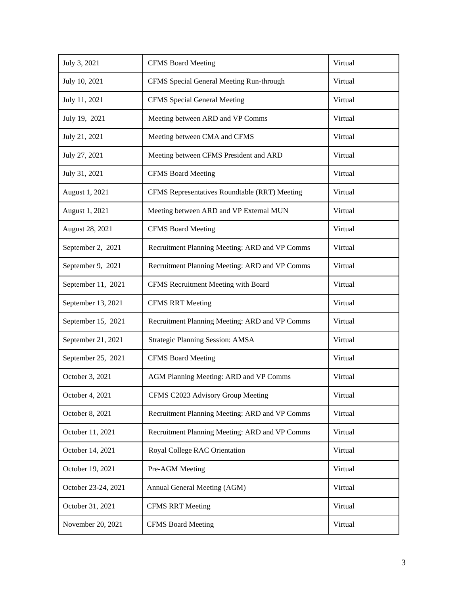| July 3, 2021        | <b>CFMS</b> Board Meeting                      | Virtual |
|---------------------|------------------------------------------------|---------|
| July 10, 2021       | CFMS Special General Meeting Run-through       | Virtual |
| July 11, 2021       | <b>CFMS</b> Special General Meeting            | Virtual |
| July 19, 2021       | Meeting between ARD and VP Comms               | Virtual |
| July 21, 2021       | Meeting between CMA and CFMS                   | Virtual |
| July 27, 2021       | Meeting between CFMS President and ARD         | Virtual |
| July 31, 2021       | <b>CFMS Board Meeting</b>                      | Virtual |
| August 1, 2021      | CFMS Representatives Roundtable (RRT) Meeting  | Virtual |
| August 1, 2021      | Meeting between ARD and VP External MUN        | Virtual |
| August 28, 2021     | <b>CFMS</b> Board Meeting                      | Virtual |
| September 2, 2021   | Recruitment Planning Meeting: ARD and VP Comms | Virtual |
| September 9, 2021   | Recruitment Planning Meeting: ARD and VP Comms | Virtual |
| September 11, 2021  | CFMS Recruitment Meeting with Board            | Virtual |
|                     |                                                |         |
| September 13, 2021  | <b>CFMS RRT Meeting</b>                        | Virtual |
| September 15, 2021  | Recruitment Planning Meeting: ARD and VP Comms | Virtual |
| September 21, 2021  | <b>Strategic Planning Session: AMSA</b>        | Virtual |
| September 25, 2021  | <b>CFMS Board Meeting</b>                      | Virtual |
| October 3, 2021     | AGM Planning Meeting: ARD and VP Comms         | Virtual |
| October 4, 2021     | CFMS C2023 Advisory Group Meeting              | Virtual |
| October 8, 2021     | Recruitment Planning Meeting: ARD and VP Comms | Virtual |
| October 11, 2021    | Recruitment Planning Meeting: ARD and VP Comms | Virtual |
| October 14, 2021    | Royal College RAC Orientation                  | Virtual |
| October 19, 2021    | Pre-AGM Meeting                                | Virtual |
| October 23-24, 2021 | Annual General Meeting (AGM)                   | Virtual |
| October 31, 2021    | <b>CFMS RRT Meeting</b>                        | Virtual |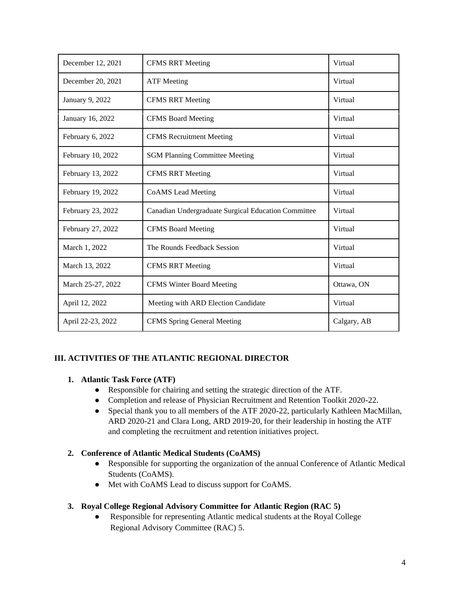| December 12, 2021 | <b>CFMS RRT Meeting</b>                             | Virtual     |
|-------------------|-----------------------------------------------------|-------------|
| December 20, 2021 | <b>ATF</b> Meeting                                  | Virtual     |
| January 9, 2022   | <b>CFMS RRT Meeting</b>                             | Virtual     |
| January 16, 2022  | <b>CFMS Board Meeting</b>                           | Virtual     |
| February 6, 2022  | <b>CFMS</b> Recruitment Meeting                     | Virtual     |
| February 10, 2022 | <b>SGM Planning Committee Meeting</b>               | Virtual     |
| February 13, 2022 | <b>CFMS RRT Meeting</b>                             | Virtual     |
| February 19, 2022 | <b>CoAMS</b> Lead Meeting                           | Virtual     |
| February 23, 2022 | Canadian Undergraduate Surgical Education Committee | Virtual     |
| February 27, 2022 | <b>CFMS Board Meeting</b>                           | Virtual     |
| March 1, 2022     | The Rounds Feedback Session                         | Virtual     |
| March 13, 2022    | <b>CFMS RRT Meeting</b>                             | Virtual     |
| March 25-27, 2022 | <b>CFMS Winter Board Meeting</b>                    | Ottawa, ON  |
| April 12, 2022    | Meeting with ARD Election Candidate                 | Virtual     |
| April 22-23, 2022 | <b>CFMS Spring General Meeting</b>                  | Calgary, AB |

# **III. ACTIVITIES OF THE ATLANTIC REGIONAL DIRECTOR**

## **1. Atlantic Task Force (ATF)**

- Responsible for chairing and setting the strategic direction of the ATF.
- Completion and release of Physician Recruitment and Retention Toolkit 2020-22.
- Special thank you to all members of the ATF 2020-22, particularly Kathleen MacMillan, ARD 2020-21 and Clara Long, ARD 2019-20, for their leadership in hosting the ATF and completing the recruitment and retention initiatives project.

# **2. Conference of Atlantic Medical Students (CoAMS)**

- Responsible for supporting the organization of the annual Conference of Atlantic Medical Students (CoAMS).
- Met with CoAMS Lead to discuss support for CoAMS.

## **3. Royal College Regional Advisory Committee for Atlantic Region (RAC 5)**

● Responsible for representing Atlantic medical students at the Royal College Regional Advisory Committee (RAC) 5.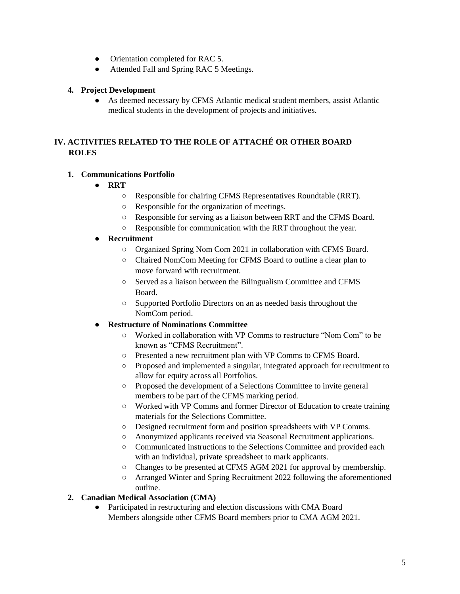- Orientation completed for RAC 5.
- Attended Fall and Spring RAC 5 Meetings.

#### **4. Project Development**

● As deemed necessary by CFMS Atlantic medical student members, assist Atlantic medical students in the development of projects and initiatives.

# **IV. ACTIVITIES RELATED TO THE ROLE OF ATTACHÉ OR OTHER BOARD ROLES**

#### **1. Communications Portfolio**

- **RRT**
	- Responsible for chairing CFMS Representatives Roundtable (RRT).
	- Responsible for the organization of meetings.
	- Responsible for serving as a liaison between RRT and the CFMS Board.
	- Responsible for communication with the RRT throughout the year.

#### ● **Recruitment**

- Organized Spring Nom Com 2021 in collaboration with CFMS Board.
- Chaired NomCom Meeting for CFMS Board to outline a clear plan to move forward with recruitment.
- Served as a liaison between the Bilingualism Committee and CFMS Board.
- Supported Portfolio Directors on an as needed basis throughout the NomCom period.

## **Restructure of Nominations Committee**

- Worked in collaboration with VP Comms to restructure "Nom Com" to be known as "CFMS Recruitment".
- Presented a new recruitment plan with VP Comms to CFMS Board.
- Proposed and implemented a singular, integrated approach for recruitment to allow for equity across all Portfolios.
- Proposed the development of a Selections Committee to invite general members to be part of the CFMS marking period.
- Worked with VP Comms and former Director of Education to create training materials for the Selections Committee.
- Designed recruitment form and position spreadsheets with VP Comms.
- Anonymized applicants received via Seasonal Recruitment applications.
- Communicated instructions to the Selections Committee and provided each with an individual, private spreadsheet to mark applicants.
- Changes to be presented at CFMS AGM 2021 for approval by membership.
- Arranged Winter and Spring Recruitment 2022 following the aforementioned outline.

#### **2. Canadian Medical Association (CMA)**

● Participated in restructuring and election discussions with CMA Board Members alongside other CFMS Board members prior to CMA AGM 2021.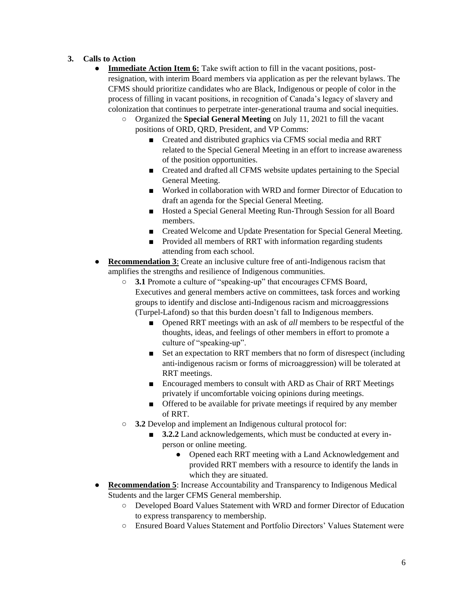## **3. Calls to Action**

- **Immediate Action Item 6:** Take swift action to fill in the vacant positions, postresignation, with interim Board members via application as per the relevant bylaws. The CFMS should prioritize candidates who are Black, Indigenous or people of color in the process of filling in vacant positions, in recognition of Canada's legacy of slavery and colonization that continues to perpetrate inter-generational trauma and social inequities.
	- Organized the **Special General Meeting** on July 11, 2021 to fill the vacant positions of ORD, QRD, President, and VP Comms:
		- Created and distributed graphics via CFMS social media and RRT related to the Special General Meeting in an effort to increase awareness of the position opportunities.
		- Created and drafted all CFMS website updates pertaining to the Special General Meeting.
		- Worked in collaboration with WRD and former Director of Education to draft an agenda for the Special General Meeting.
		- Hosted a Special General Meeting Run-Through Session for all Board members.
		- Created Welcome and Update Presentation for Special General Meeting.
		- Provided all members of RRT with information regarding students attending from each school.
- **Recommendation 3:** Create an inclusive culture free of anti-Indigenous racism that amplifies the strengths and resilience of Indigenous communities.
	- **3.1** Promote a culture of "speaking-up" that encourages CFMS Board, Executives and general members active on committees, task forces and working groups to identify and disclose anti-Indigenous racism and microaggressions (Turpel-Lafond) so that this burden doesn't fall to Indigenous members.
		- Opened RRT meetings with an ask of *all* members to be respectful of the thoughts, ideas, and feelings of other members in effort to promote a culture of "speaking-up".
		- Set an expectation to RRT members that no form of disrespect (including anti-indigenous racism or forms of microaggression) will be tolerated at RRT meetings.
		- Encouraged members to consult with ARD as Chair of RRT Meetings privately if uncomfortable voicing opinions during meetings.
		- Offered to be available for private meetings if required by any member of RRT.
	- **3.2** Develop and implement an Indigenous cultural protocol for:
		- **3.2.2** Land acknowledgements, which must be conducted at every inperson or online meeting.
			- Opened each RRT meeting with a Land Acknowledgement and provided RRT members with a resource to identify the lands in which they are situated.
- **Recommendation 5**: Increase Accountability and Transparency to Indigenous Medical Students and the larger CFMS General membership.
	- Developed Board Values Statement with WRD and former Director of Education to express transparency to membership.
	- Ensured Board Values Statement and Portfolio Directors' Values Statement were